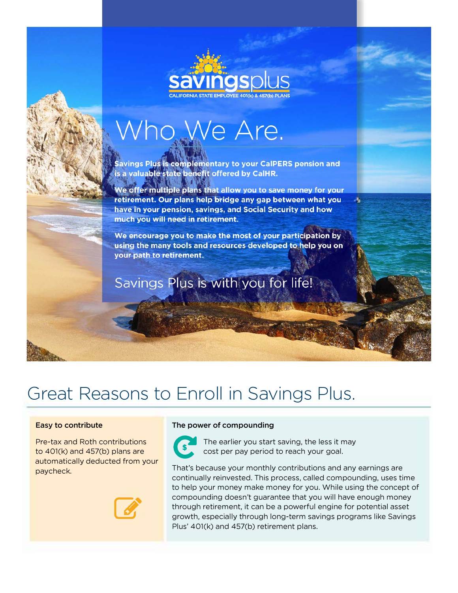# Who We Are.

**Savings Plus is complementary to your CalPERS pension and** is a valuable state benefit offered by CalHR.

We offer multiple plans that allow you to save money for your retirement. Our plans help bridge any gap between what you have in your pension, savings, and Social Security and how much you will need in retirement.

We encourage you to make the most of your participation by using the many tools and resources developed to help you on your path to retirement.

Savings Plus is with you for life!

## **Great Reasons to Enroll in Savings Plus.**

to 401(k) and 457(b) plans are **V** cost per pay period to reach your goal.<br>automatically deducted from your



## **Easy to contribute The power of compounding Easy to contribute**



Pre-tax and Roth contributions **report in the earlier** you start saving, the less it may<br>to 401(k) and 457(b) plans are cost per pay period to reach your goal.

automatically deducted from your monthly contributions and any earnings are<br>paycheck. Continually reinvested. This process, called compounding, uses time to help your money make money for you. While using the concept of compounding doesn't guarantee that you will have enough money through retirement, it can be a powerful engine for potential asset growth, especially through long-term savings programs like Savings Plus' 40l(k) and 457(b) retirement plans.

лĻ.